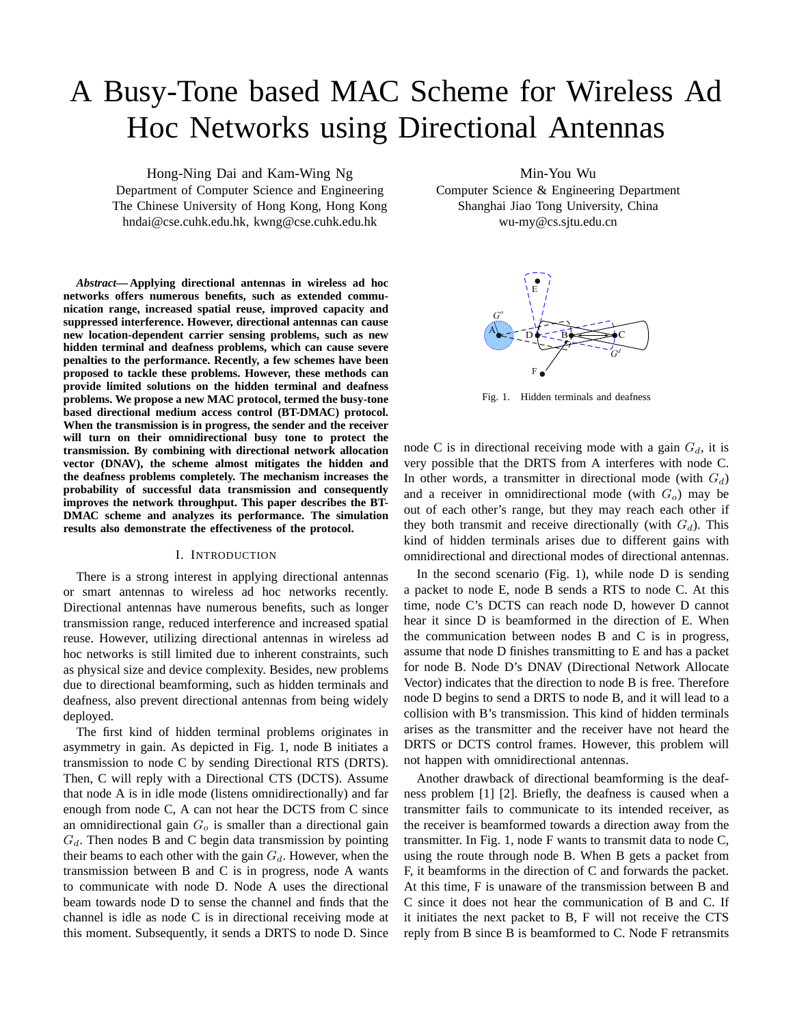# A Busy-Tone based MAC Scheme for Wireless Ad Hoc Networks using Directional Antennas

Hong-Ning Dai and Kam-Wing Ng Department of Computer Science and Engineering The Chinese University of Hong Kong, Hong Kong hndai@cse.cuhk.edu.hk, kwng@cse.cuhk.edu.hk

*Abstract***— Applying directional antennas in wireless ad hoc networks offers numerous benefits, such as extended communication range, increased spatial reuse, improved capacity and suppressed interference. However, directional antennas can cause new location-dependent carrier sensing problems, such as new hidden terminal and deafness problems, which can cause severe penalties to the performance. Recently, a few schemes have been proposed to tackle these problems. However, these methods can provide limited solutions on the hidden terminal and deafness problems. We propose a new MAC protocol, termed the busy-tone based directional medium access control (BT-DMAC) protocol. When the transmission is in progress, the sender and the receiver will turn on their omnidirectional busy tone to protect the transmission. By combining with directional network allocation vector (DNAV), the scheme almost mitigates the hidden and the deafness problems completely. The mechanism increases the probability of successful data transmission and consequently improves the network throughput. This paper describes the BT-DMAC scheme and analyzes its performance. The simulation results also demonstrate the effectiveness of the protocol.**

# I. INTRODUCTION

There is a strong interest in applying directional antennas or smart antennas to wireless ad hoc networks recently. Directional antennas have numerous benefits, such as longer transmission range, reduced interference and increased spatial reuse. However, utilizing directional antennas in wireless ad hoc networks is still limited due to inherent constraints, such as physical size and device complexity. Besides, new problems due to directional beamforming, such as hidden terminals and deafness, also prevent directional antennas from being widely deployed.

The first kind of hidden terminal problems originates in asymmetry in gain. As depicted in Fig. 1, node B initiates a transmission to node C by sending Directional RTS (DRTS). Then, C will reply with a Directional CTS (DCTS). Assume that node A is in idle mode (listens omnidirectionally) and far enough from node C, A can not hear the DCTS from C since an omnidirectional gain  $G<sub>o</sub>$  is smaller than a directional gain  $G_d$ . Then nodes B and C begin data transmission by pointing their beams to each other with the gain  $G_d$ . However, when the transmission between B and C is in progress, node A wants to communicate with node D. Node A uses the directional beam towards node D to sense the channel and finds that the channel is idle as node C is in directional receiving mode at this moment. Subsequently, it sends a DRTS to node D. Since

Min-You Wu

Computer Science & Engineering Department Shanghai Jiao Tong University, China wu-my@cs.sjtu.edu.cn



Fig. 1. Hidden terminals and deafness

node C is in directional receiving mode with a gain  $G_d$ , it is very possible that the DRTS from A interferes with node C. In other words, a transmitter in directional mode (with  $G_d$ ) and a receiver in omnidirectional mode (with  $G<sub>o</sub>$ ) may be out of each other's range, but they may reach each other if they both transmit and receive directionally (with  $G_d$ ). This kind of hidden terminals arises due to different gains with omnidirectional and directional modes of directional antennas.

In the second scenario (Fig. 1), while node D is sending a packet to node E, node B sends a RTS to node C. At this time, node C's DCTS can reach node D, however D cannot hear it since D is beamformed in the direction of E. When the communication between nodes B and C is in progress, assume that node D finishes transmitting to E and has a packet for node B. Node D's DNAV (Directional Network Allocate Vector) indicates that the direction to node B is free. Therefore node D begins to send a DRTS to node B, and it will lead to a collision with B's transmission. This kind of hidden terminals arises as the transmitter and the receiver have not heard the DRTS or DCTS control frames. However, this problem will not happen with omnidirectional antennas.

Another drawback of directional beamforming is the deafness problem [1] [2]. Briefly, the deafness is caused when a transmitter fails to communicate to its intended receiver, as the receiver is beamformed towards a direction away from the transmitter. In Fig. 1, node F wants to transmit data to node C, using the route through node B. When B gets a packet from F, it beamforms in the direction of C and forwards the packet. At this time, F is unaware of the transmission between B and C since it does not hear the communication of B and C. If it initiates the next packet to B, F will not receive the CTS reply from B since B is beamformed to C. Node F retransmits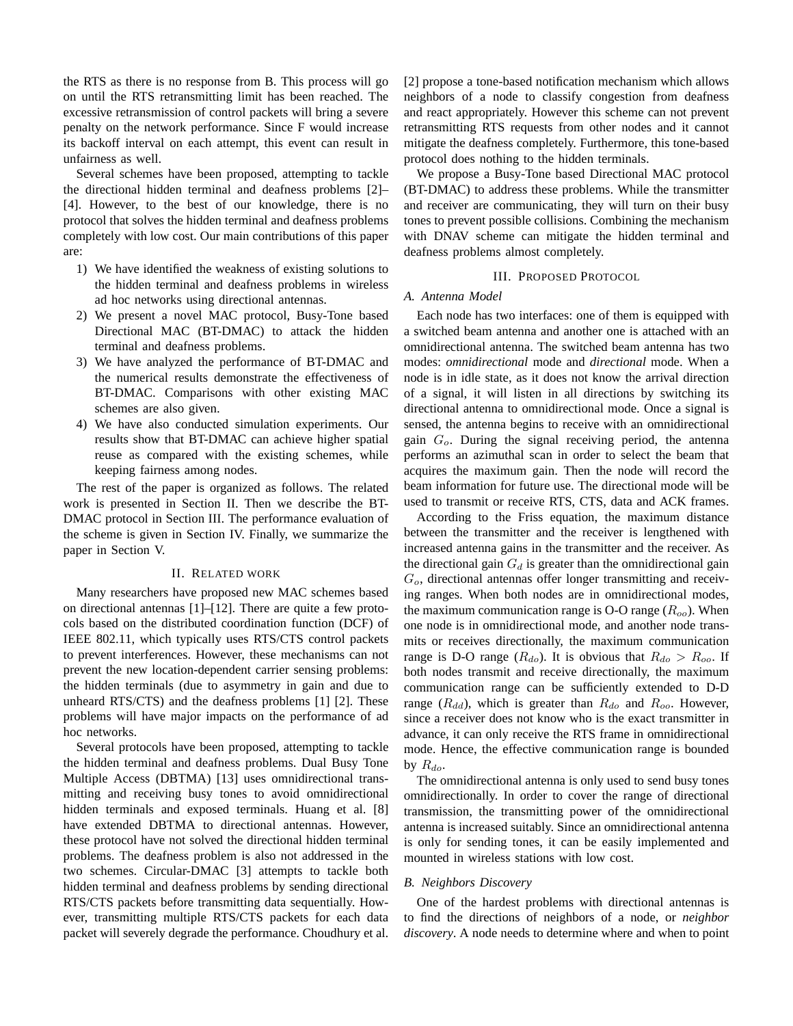the RTS as there is no response from B. This process will go on until the RTS retransmitting limit has been reached. The excessive retransmission of control packets will bring a severe penalty on the network performance. Since F would increase its backoff interval on each attempt, this event can result in unfairness as well.

Several schemes have been proposed, attempting to tackle the directional hidden terminal and deafness problems [2]– [4]. However, to the best of our knowledge, there is no protocol that solves the hidden terminal and deafness problems completely with low cost. Our main contributions of this paper are:

- 1) We have identified the weakness of existing solutions to the hidden terminal and deafness problems in wireless ad hoc networks using directional antennas.
- 2) We present a novel MAC protocol, Busy-Tone based Directional MAC (BT-DMAC) to attack the hidden terminal and deafness problems.
- 3) We have analyzed the performance of BT-DMAC and the numerical results demonstrate the effectiveness of BT-DMAC. Comparisons with other existing MAC schemes are also given.
- 4) We have also conducted simulation experiments. Our results show that BT-DMAC can achieve higher spatial reuse as compared with the existing schemes, while keeping fairness among nodes.

The rest of the paper is organized as follows. The related work is presented in Section II. Then we describe the BT-DMAC protocol in Section III. The performance evaluation of the scheme is given in Section IV. Finally, we summarize the paper in Section V.

#### II. RELATED WORK

Many researchers have proposed new MAC schemes based on directional antennas [1]–[12]. There are quite a few protocols based on the distributed coordination function (DCF) of IEEE 802.11, which typically uses RTS/CTS control packets to prevent interferences. However, these mechanisms can not prevent the new location-dependent carrier sensing problems: the hidden terminals (due to asymmetry in gain and due to unheard RTS/CTS) and the deafness problems [1] [2]. These problems will have major impacts on the performance of ad hoc networks.

Several protocols have been proposed, attempting to tackle the hidden terminal and deafness problems. Dual Busy Tone Multiple Access (DBTMA) [13] uses omnidirectional transmitting and receiving busy tones to avoid omnidirectional hidden terminals and exposed terminals. Huang et al. [8] have extended DBTMA to directional antennas. However, these protocol have not solved the directional hidden terminal problems. The deafness problem is also not addressed in the two schemes. Circular-DMAC [3] attempts to tackle both hidden terminal and deafness problems by sending directional RTS/CTS packets before transmitting data sequentially. However, transmitting multiple RTS/CTS packets for each data packet will severely degrade the performance. Choudhury et al. [2] propose a tone-based notification mechanism which allows neighbors of a node to classify congestion from deafness and react appropriately. However this scheme can not prevent retransmitting RTS requests from other nodes and it cannot mitigate the deafness completely. Furthermore, this tone-based protocol does nothing to the hidden terminals.

We propose a Busy-Tone based Directional MAC protocol (BT-DMAC) to address these problems. While the transmitter and receiver are communicating, they will turn on their busy tones to prevent possible collisions. Combining the mechanism with DNAV scheme can mitigate the hidden terminal and deafness problems almost completely.

## III. PROPOSED PROTOCOL

# *A. Antenna Model*

Each node has two interfaces: one of them is equipped with a switched beam antenna and another one is attached with an omnidirectional antenna. The switched beam antenna has two modes: *omnidirectional* mode and *directional* mode. When a node is in idle state, as it does not know the arrival direction of a signal, it will listen in all directions by switching its directional antenna to omnidirectional mode. Once a signal is sensed, the antenna begins to receive with an omnidirectional gain  $G<sub>o</sub>$ . During the signal receiving period, the antenna performs an azimuthal scan in order to select the beam that acquires the maximum gain. Then the node will record the beam information for future use. The directional mode will be used to transmit or receive RTS, CTS, data and ACK frames.

According to the Friss equation, the maximum distance between the transmitter and the receiver is lengthened with increased antenna gains in the transmitter and the receiver. As the directional gain  $G_d$  is greater than the omnidirectional gain  $G<sub>o</sub>$ , directional antennas offer longer transmitting and receiving ranges. When both nodes are in omnidirectional modes, the maximum communication range is O-O range  $(R_{oo})$ . When one node is in omnidirectional mode, and another node transmits or receives directionally, the maximum communication range is D-O range ( $R_{do}$ ). It is obvious that  $R_{do} > R_{oo}$ . If both nodes transmit and receive directionally, the maximum communication range can be sufficiently extended to D-D range ( $R_{dd}$ ), which is greater than  $R_{do}$  and  $R_{oo}$ . However, since a receiver does not know who is the exact transmitter in advance, it can only receive the RTS frame in omnidirectional mode. Hence, the effective communication range is bounded by  $R_{do}$ .

The omnidirectional antenna is only used to send busy tones omnidirectionally. In order to cover the range of directional transmission, the transmitting power of the omnidirectional antenna is increased suitably. Since an omnidirectional antenna is only for sending tones, it can be easily implemented and mounted in wireless stations with low cost.

# *B. Neighbors Discovery*

One of the hardest problems with directional antennas is to find the directions of neighbors of a node, or *neighbor discovery*. A node needs to determine where and when to point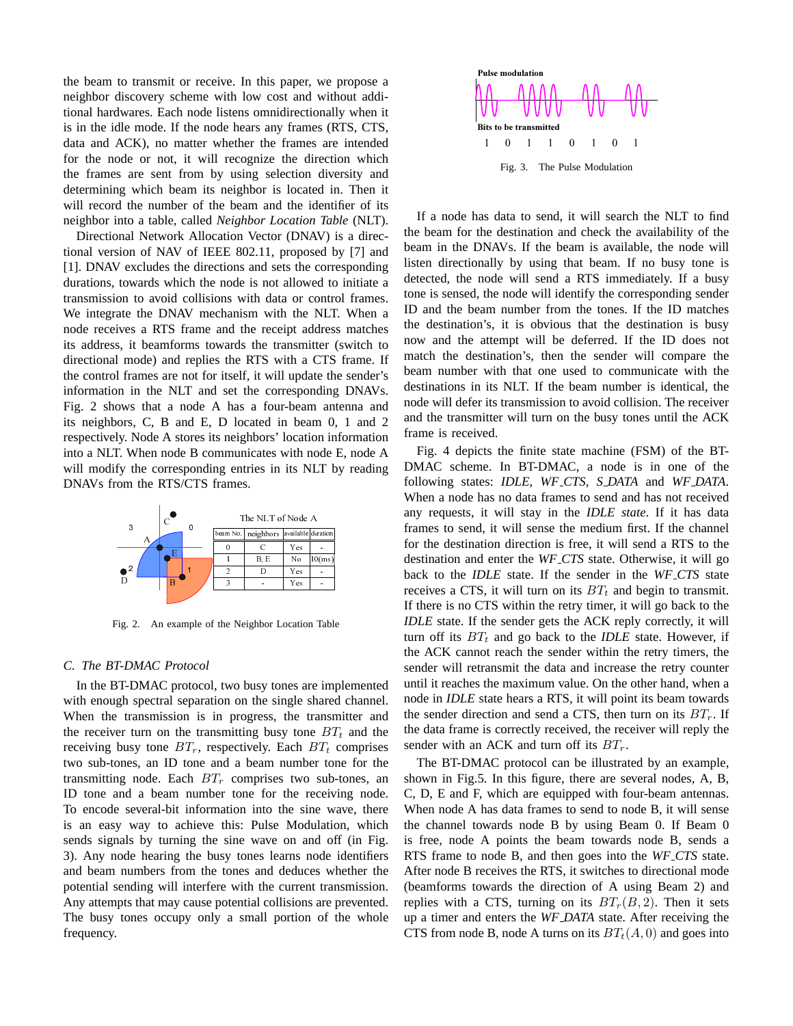the beam to transmit or receive. In this paper, we propose a neighbor discovery scheme with low cost and without additional hardwares. Each node listens omnidirectionally when it is in the idle mode. If the node hears any frames (RTS, CTS, data and ACK), no matter whether the frames are intended for the node or not, it will recognize the direction which the frames are sent from by using selection diversity and determining which beam its neighbor is located in. Then it will record the number of the beam and the identifier of its neighbor into a table, called *Neighbor Location Table* (NLT).

Directional Network Allocation Vector (DNAV) is a directional version of NAV of IEEE 802.11, proposed by [7] and [1]. DNAV excludes the directions and sets the corresponding durations, towards which the node is not allowed to initiate a transmission to avoid collisions with data or control frames. We integrate the DNAV mechanism with the NLT. When a node receives a RTS frame and the receipt address matches its address, it beamforms towards the transmitter (switch to directional mode) and replies the RTS with a CTS frame. If the control frames are not for itself, it will update the sender's information in the NLT and set the corresponding DNAVs. Fig. 2 shows that a node A has a four-beam antenna and its neighbors, C, B and E, D located in beam 0, 1 and 2 respectively. Node A stores its neighbors' location information into a NLT. When node B communicates with node E, node A will modify the corresponding entries in its NLT by reading DNAVs from the RTS/CTS frames.



Fig. 2. An example of the Neighbor Location Table

#### *C. The BT-DMAC Protocol*

 $\frac{1}{100}$ <br>1 Table immate immate B' and the value of  $\frac{1}{100}$ <br>10 November 2014<br>10 November 2014<br>10 November 2014<br>10 November 2014<br>10 November 2014<br>10 November 2014<br>10 November 2014 A Me sin to a sin to a sin to a sin to be used as a sin to a sin to be used as a single single single single s - I ex Pr Fl isi D E m ni en ng fi ll ar u Contract of the contract of the contract of the contract of the contract of the contract of the contract of the contract of the contract of the contract of the contract of the contract of the contract of the contract of th g. IL Trin the run meg sail of the run meg sail of the run meg sail of the run of the run of the run of the run of the run of the run of the run of the run of the run of the run of the run of the run of the run of the run E  $rac{1}{\frac{C}{C}}$   $rac{1}{\frac{C}{C}}$   $rac{1}{\frac{C}{C}}$   $rac{1}{\frac{C}{C}}$   $rac{1}{\frac{C}{C}}$   $rac{1}{\frac{C}{C}}$   $rac{1}{\frac{C}{C}}$   $rac{1}{\frac{C}{C}}$   $rac{1}{\frac{C}{C}}$   $rac{1}{\frac{C}{C}}$   $rac{1}{\frac{C}{C}}$   $rac{1}{\frac{C}{C}}$   $rac{1}{\frac{C}{C}}$   $rac{1}{\frac{C}{C}}$   $rac{1}{\frac{C}{C}}$   $rac{1}{\frac{C}{C$  $\frac{1}{2}$   $\frac{1}{2}$   $\frac{1}{2}$   $\frac{1}{2}$   $\frac{1}{2}$   $\frac{1}{2}$   $\frac{1}{2}$   $\frac{1}{2}$   $\frac{1}{2}$   $\frac{1}{2}$   $\frac{1}{2}$   $\frac{1}{2}$   $\frac{1}{2}$   $\frac{1}{2}$   $\frac{1}{2}$  on the single sha progress, the tran intting busy tone acctively. Each France Controllery<br>
2 B, The Controllery<br>
2 B, The Controllery<br>
2 B, The Controllery<br>
2 The Controllery<br>
2 The Controllery<br>
2 The Controllery<br>
2 The Controllery<br>
2 The Controllery<br>
2 Exception<br>
2 The Controllery<br>
2 The Con  $rac{1}{3}$   $rac{1}{3}$   $rac{1}{2}$   $rac{1}{2}$   $rac{1}{2}$   $rac{1}{2}$   $rac{1}{2}$   $rac{1}{2}$   $rac{1}{2}$   $rac{1}{2}$  on the single sha progress, the tran initting busy tone actively. Each *B1* a beam number comprises two stone for the recetion into Example 1 See Neighbor Location Ti<br>
2 Neighbor Location Ti<br>
1 on the single sha<br>
progress, the tran<br>
intiting busy tone<br>
lectively. Each *BT*<br>
1 a beam number<br>
comprises two si<br>
tone for the reccetion into the sine<br>
tone f The Supply of The Nodel Contract Contract Contract Contract Contract Contract Contract Contract Contract Contract Contract Contract Contract Contract Contract Contract Contract Contract Contract Contract Contract Contract In the BT-DMAC protocol, two busy tones are implemented with enough spectral separation on the single shared channel. When the transmission is in progress, the transmitter and the receiver turn on the transmitting busy tone  $BT_t$  and the receiving busy tone  $BT_r$ , respectively. Each  $BT_t$  comprises two sub-tones, an ID tone and a beam number tone for the transmitting node. Each  $BT_r$  comprises two sub-tones, an ID tone and a beam number tone for the receiving node. To encode several-bit information into the sine wave, there is an easy way to achieve this: Pulse Modulation, which sends signals by turning the sine wave on and off (in Fig. 3). Any node hearing the busy tones learns node identifiers and beam numbers from the tones and deduces whether the potential sending will interfere with the current transmission. Any attempts that may cause potential collisions are prevented. The busy tones occupy only a small portion of the whole frequency.



If a node has data to send, it will search the NLT to find the beam for the destination and check the availability of the beam in the DNAVs. If the beam is available, the node will listen directionally by using that beam. If no busy tone is detected, the node will send a RTS immediately. If a busy tone is sensed, the node will identify the corresponding sender ID and the beam number from the tones. If the ID matches the destination's, it is obvious that the destination is busy now and the attempt will be deferred. If the ID does not match the destination's, then the sender will compare the beam number with that one used to communicate with the destinations in its NLT. If the beam number is identical, the node will defer its transmission to avoid collision. The receiver and the transmitter will turn on the busy tones until the ACK frame is received.

Fig. 4 depicts the finite state machine (FSM) of the BT-DMAC scheme. In BT-DMAC, a node is in one of the following states: *IDLE*, *WF CTS*, *S DATA* and *WF DATA*. When a node has no data frames to send and has not received any requests, it will stay in the *IDLE state*. If it has data frames to send, it will sense the medium first. If the channel for the destination direction is free, it will send a RTS to the destination and enter the *WF CTS* state. Otherwise, it will go back to the *IDLE* state. If the sender in the *WF CTS* state receives a CTS, it will turn on its  $BT_t$  and begin to transmit. If there is no CTS within the retry timer, it will go back to the *IDLE* state. If the sender gets the ACK reply correctly, it will turn off its  $BT_t$  and go back to the *IDLE* state. However, if the ACK cannot reach the sender within the retry timers, the sender will retransmit the data and increase the retry counter until it reaches the maximum value. On the other hand, when a node in *IDLE* state hears a RTS, it will point its beam towards the sender direction and send a CTS, then turn on its  $BT_r$ . If the data frame is correctly received, the receiver will reply the sender with an ACK and turn off its  $BT_r$ .

The BT-DMAC protocol can be illustrated by an example, shown in Fig.5. In this figure, there are several nodes, A, B, C, D, E and F, which are equipped with four-beam antennas. When node A has data frames to send to node B, it will sense the channel towards node B by using Beam 0. If Beam 0 is free, node A points the beam towards node B, sends a RTS frame to node B, and then goes into the *WF CTS* state. After node B receives the RTS, it switches to directional mode (beamforms towards the direction of A using Beam 2) and replies with a CTS, turning on its  $BT_r(B, 2)$ . Then it sets up a timer and enters the *WF DATA* state. After receiving the CTS from node B, node A turns on its  $BT_t(A, 0)$  and goes into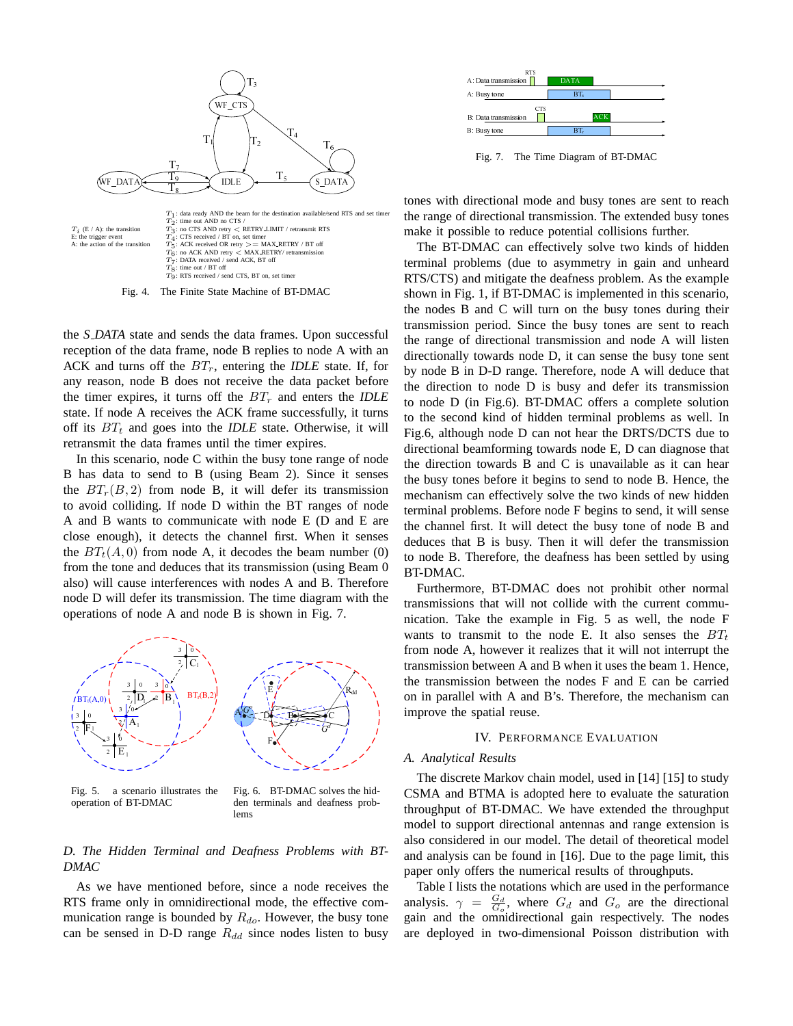

Fig. 4. The Finite State Machine of BT-DMAC

the *S DATA* state and sends the data frames. Upon successful reception of the data frame, node B replies to node A with an ACK and turns off the  $BT_r$ , entering the *IDLE* state. If, for any reason, node B does not receive the data packet before the timer expires, it turns off the  $BT_r$  and enters the *IDLE* state. If node A receives the ACK frame successfully, it turns off its  $BT_t$  and goes into the *IDLE* state. Otherwise, it will retransmit the data frames until the timer expires.

In this scenario, node C within the busy tone range of node B has data to send to B (using Beam 2). Since it senses the  $BT_r(B, 2)$  from node B, it will defer its transmission to avoid colliding. If node D within the BT ranges of node A and B wants to communicate with node E (D and E are close enough), it detects the channel first. When it senses the  $BT<sub>t</sub>(A, 0)$  from node A, it decodes the beam number (0) from the tone and deduces that its transmission (using Beam 0 also) will cause interferences with nodes A and B. Therefore node D will defer its transmission. The time diagram with the operations of node A and node B is shown in Fig. 7.





Fig. 6. BT-DMAC solves the hidden terminals and deafness problems

# *D. The Hidden Terminal and Deafness Problems with BT-DMAC*

As we have mentioned before, since a node receives the RTS frame only in omnidirectional mode, the effective communication range is bounded by  $R_{do}$ . However, the busy tone can be sensed in D-D range  $R_{dd}$  since nodes listen to busy



Fig. 7. The Time Diagram of BT-DMAC

tones with directional mode and busy tones are sent to reach the range of directional transmission. The extended busy tones make it possible to reduce potential collisions further.

A: Busy tone<br>B: Dat<u>a transmission</u><br>B: Busy tone<br>B: Busy tone<br>Fig. 7. The<br>directional ndirectional<br>sible to redu<br>MAC can<br>belens (due md mitigate<br>g. 1, if BT-E<br>i and C will<br>period. Si<br>f directional v towards nd D-D rang<br>n t B: Busy lone<br>Fig. 7. The<br>directional n<br>directional differential<br>sible to redu<br>MAC can<br>belems (due<br>not mitigate transmit paint of intertional<br>towards not D-D rang<br>in Tig.6). If directional<br>in Fig.6). If directional<br>in Fig.6 **EXAMPLE 1879**<br>Diagonal Initials is identically be the position of the position of the contract of the contract of the contract of the contract of the contract of the contract of the contract of the contract of the contrac ACK Sy T colvery present and the set of the set of the set of the set of the set of the set of the set of the set of the set of the set of the set of the set of the set of the set of the set of the set of the set of the se BTt ├── gra しょic ti ly mr ee ir 1 bu ss ca ci y C ern he is r is o A: Busy tone Fig. 7.<br>Iirection<br>direction<br>direction<br>Sible tone multiple is and C<br>period irect veward<br>n D-D<br>n to no no iin Fig.<br>direct veward n D-D<br>n to no iin Fig.<br>and kind<br>n toward n outline to the same of the same of the same of the s The BT-DMAC can effectively solve two kinds of hidden terminal problems (due to asymmetry in gain and unheard RTS/CTS) and mitigate the deafness problem. As the example shown in Fig. 1, if BT-DMAC is implemented in this scenario. the nodes B and C will turn on the busy tones during their transmission period. Since the busy tones are sent to reach the range of directional transmission and node A will listen directionally towards node D, it can sense the busy tone sent by node B in D-D range. Therefore, node A will deduce that the direction to node D is busy and defer its transmission to node D (in Fig.6). BT-DMAC offers a complete solution to the second kind of hidden terminal problems as well. In Fig.6, although node D can not hear the DRTS/DCTS due to directional beamforming towards node E, D can diagnose that the direction towards B and C is unavailable as it can hear the busy tones before it begins to send to node B. Hence, the mechanism can effectively solve the two kinds of new hidden terminal problems. Before node F begins to send, it will sense the channel first. It will detect the busy tone of node B and deduces that B is busy. Then it will defer the transmission to node B. Therefore, the deafness has been settled by using BT-DMAC.

Furthermore, BT-DMAC does not prohibit other normal transmissions that will not collide with the current communication. Take the example in Fig. 5 as well, the node F wants to transmit to the node E. It also senses the  $BT_t$ from node A, however it realizes that it will not interrupt the transmission between A and B when it uses the beam 1. Hence, the transmission between the nodes F and E can be carried on in parallel with A and B's. Therefore, the mechanism can improve the spatial reuse.

# IV. PERFORMANCE EVALUATION

## *A. Analytical Results*

The discrete Markov chain model, used in [14] [15] to study CSMA and BTMA is adopted here to evaluate the saturation throughput of BT-DMAC. We have extended the throughput model to support directional antennas and range extension is also considered in our model. The detail of theoretical model and analysis can be found in [16]. Due to the page limit, this paper only offers the numerical results of throughputs.

Table I lists the notations which are used in the performance analysis.  $\gamma = \frac{G_d}{G_o}$ , where  $G_d$  and  $G_o$  are the directional gain and the omnidirectional gain respectively. The nodes are deployed in two-dimensional Poisson distribution with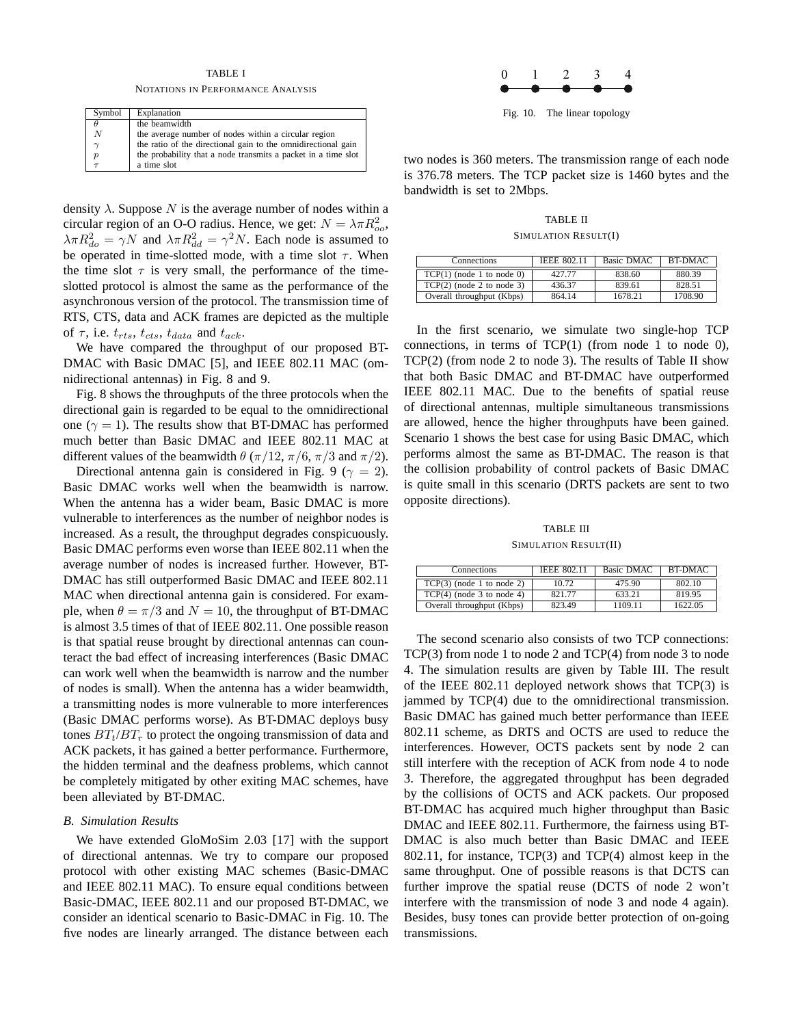# TABLE I

NOTATIONS IN PERFORMANCE ANALYSIS

| Symbol           | Explanation                                                   |
|------------------|---------------------------------------------------------------|
| θ                | the beamwidth                                                 |
| $\boldsymbol{N}$ | the average number of nodes within a circular region          |
| $\sim$           | the ratio of the directional gain to the omnidirectional gain |
| $\boldsymbol{p}$ | the probability that a node transmits a packet in a time slot |
|                  | a time slot                                                   |

density  $\lambda$ . Suppose N is the average number of nodes within a circular region of an O-O radius. Hence, we get:  $N = \lambda \pi R_{oo}^2$ ,  $\lambda \pi R_{do}^2 = \gamma N$  and  $\lambda \pi R_{dd}^2 = \gamma^2 N$ . Each node is assumed to be operated in time-slotted mode, with a time slot  $\tau$ . When the time slot  $\tau$  is very small, the performance of the timeslotted protocol is almost the same as the performance of the asynchronous version of the protocol. The transmission time of RTS, CTS, data and ACK frames are depicted as the multiple of  $\tau$ , i.e.  $t_{rts}$ ,  $t_{cts}$ ,  $t_{data}$  and  $t_{ack}$ .

We have compared the throughput of our proposed BT-DMAC with Basic DMAC [5], and IEEE 802.11 MAC (omnidirectional antennas) in Fig. 8 and 9.

Fig. 8 shows the throughputs of the three protocols when the directional gain is regarded to be equal to the omnidirectional one ( $\gamma = 1$ ). The results show that BT-DMAC has performed much better than Basic DMAC and IEEE 802.11 MAC at different values of the beamwidth  $\theta$  ( $\pi/12$ ,  $\pi/6$ ,  $\pi/3$  and  $\pi/2$ ).

Directional antenna gain is considered in Fig. 9 ( $\gamma = 2$ ). Basic DMAC works well when the beamwidth is narrow. When the antenna has a wider beam, Basic DMAC is more vulnerable to interferences as the number of neighbor nodes is increased. As a result, the throughput degrades conspicuously. Basic DMAC performs even worse than IEEE 802.11 when the average number of nodes is increased further. However, BT-DMAC has still outperformed Basic DMAC and IEEE 802.11 MAC when directional antenna gain is considered. For example, when  $\theta = \pi/3$  and  $N = 10$ , the throughput of BT-DMAC is almost 3.5 times of that of IEEE 802.11. One possible reason is that spatial reuse brought by directional antennas can counteract the bad effect of increasing interferences (Basic DMAC can work well when the beamwidth is narrow and the number of nodes is small). When the antenna has a wider beamwidth, a transmitting nodes is more vulnerable to more interferences (Basic DMAC performs worse). As BT-DMAC deploys busy tones  $BT_t/BT_r$  to protect the ongoing transmission of data and ACK packets, it has gained a better performance. Furthermore, the hidden terminal and the deafness problems, which cannot be completely mitigated by other exiting MAC schemes, have been alleviated by BT-DMAC.

# *B. Simulation Results*

We have extended GloMoSim 2.03 [17] with the support of directional antennas. We try to compare our proposed protocol with other existing MAC schemes (Basic-DMAC and IEEE 802.11 MAC). To ensure equal conditions between Basic-DMAC, IEEE 802.11 and our proposed BT-DMAC, we consider an identical scenario to Basic-DMAC in Fig. 10. The five nodes are linearly arranged. The distance between each



Fig. 10. The linear topology

two nodes is 360 meters. The transmission range of each node is 376.78 meters. The TCP packet size is 1460 bytes and the bandwidth is set to 2Mbps.

TABLE II SIMULATION RESULT(I)

| Connections                 | <b>IEEE 802.11</b> | Basic DMAC | BT-DMAC |
|-----------------------------|--------------------|------------|---------|
| $TCP(1)$ (node 1 to node 0) | 427.77             | 838.60     | 880.39  |
| $TCP(2)$ (node 2 to node 3) | 436.37             | 839.61     | 828.51  |
| Overall throughput (Kbps)   | 864.14             | 1678.21    | 1708.90 |

In the first scenario, we simulate two single-hop TCP connections, in terms of  $TCP(1)$  (from node 1 to node 0), TCP(2) (from node 2 to node 3). The results of Table II show that both Basic DMAC and BT-DMAC have outperformed IEEE 802.11 MAC. Due to the benefits of spatial reuse of directional antennas, multiple simultaneous transmissions are allowed, hence the higher throughputs have been gained. Scenario 1 shows the best case for using Basic DMAC, which performs almost the same as BT-DMAC. The reason is that the collision probability of control packets of Basic DMAC is quite small in this scenario (DRTS packets are sent to two opposite directions).

TABLE III SIMULATION RESULT(II)

| Connections                 | <b>IEEE 802.11</b> | Basic DMAC | BT-DMAC |
|-----------------------------|--------------------|------------|---------|
| $TCP(3)$ (node 1 to node 2) | 10.72              | 475.90     | 802.10  |
| $TCP(4)$ (node 3 to node 4) | 821.77             | 633.21     | 819.95  |
| Overall throughput (Kbps)   | 823.49             | 1109 11    | 1622.05 |

The second scenario also consists of two TCP connections: TCP(3) from node 1 to node 2 and TCP(4) from node 3 to node 4. The simulation results are given by Table III. The result of the IEEE 802.11 deployed network shows that TCP(3) is jammed by TCP(4) due to the omnidirectional transmission. Basic DMAC has gained much better performance than IEEE 802.11 scheme, as DRTS and OCTS are used to reduce the interferences. However, OCTS packets sent by node 2 can still interfere with the reception of ACK from node 4 to node 3. Therefore, the aggregated throughput has been degraded by the collisions of OCTS and ACK packets. Our proposed BT-DMAC has acquired much higher throughput than Basic DMAC and IEEE 802.11. Furthermore, the fairness using BT-DMAC is also much better than Basic DMAC and IEEE 802.11, for instance, TCP(3) and TCP(4) almost keep in the same throughput. One of possible reasons is that DCTS can further improve the spatial reuse (DCTS of node 2 won't interfere with the transmission of node 3 and node 4 again). Besides, busy tones can provide better protection of on-going transmissions.